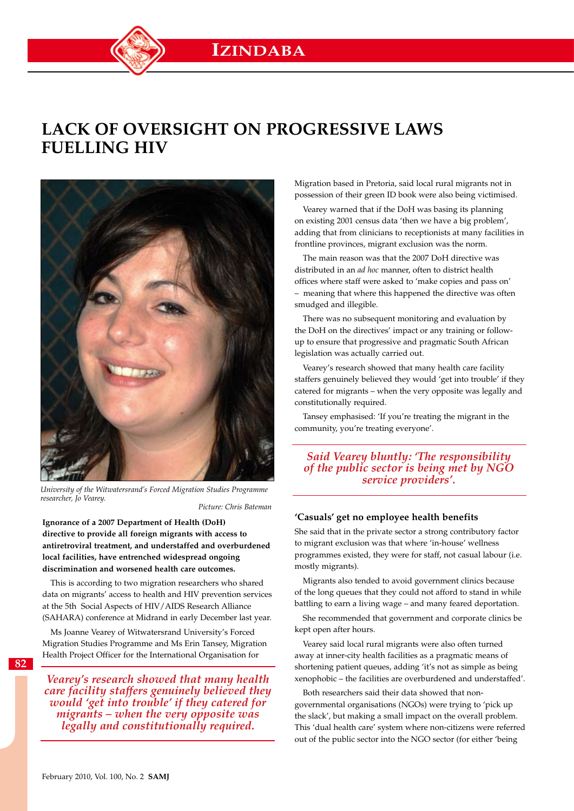# **Lack of oversight on progressive laws fuelling HIV**



*University of the Witwatersrand's Forced Migration Studies Programme researcher, Jo Vearey.*

 *Picture: Chris Bateman*

**Ignorance of a 2007 Department of Health (DoH) directive to provide all foreign migrants with access to antiretroviral treatment, and understaffed and overburdened local facilities, have entrenched widespread ongoing discrimination and worsened health care outcomes.**

This is according to two migration researchers who shared data on migrants' access to health and HIV prevention services at the 5th Social Aspects of HIV/AIDS Research Alliance (SAHARA) conference at Midrand in early December last year.

Ms Joanne Vearey of Witwatersrand University's Forced Migration Studies Programme and Ms Erin Tansey, Migration Health Project Officer for the International Organisation for

**82**

*Vearey's research showed that many health care facility staffers genuinely believed they would 'get into trouble' if they catered for migrants – when the very opposite was legally and constitutionally required.*

Migration based in Pretoria, said local rural migrants not in possession of their green ID book were also being victimised.

Vearey warned that if the DoH was basing its planning on existing 2001 census data 'then we have a big problem', adding that from clinicians to receptionists at many facilities in frontline provinces, migrant exclusion was the norm.

The main reason was that the 2007 DoH directive was distributed in an *ad hoc* manner, often to district health offices where staff were asked to 'make copies and pass on' – meaning that where this happened the directive was often smudged and illegible.

There was no subsequent monitoring and evaluation by the DoH on the directives' impact or any training or followup to ensure that progressive and pragmatic South African legislation was actually carried out.

Vearey's research showed that many health care facility staffers genuinely believed they would 'get into trouble' if they catered for migrants – when the very opposite was legally and constitutionally required.

Tansey emphasised: 'If you're treating the migrant in the community, you're treating everyone'.

*Said Vearey bluntly: 'The responsibility of the public sector is being met by NGO service providers'.*

#### **'Casuals' get no employee health benefits**

She said that in the private sector a strong contributory factor to migrant exclusion was that where 'in-house' wellness programmes existed, they were for staff, not casual labour (i.e. mostly migrants).

Migrants also tended to avoid government clinics because of the long queues that they could not afford to stand in while battling to earn a living wage – and many feared deportation.

She recommended that government and corporate clinics be kept open after hours.

Vearey said local rural migrants were also often turned away at inner-city health facilities as a pragmatic means of shortening patient queues, adding 'it's not as simple as being xenophobic – the facilities are overburdened and understaffed'.

Both researchers said their data showed that nongovernmental organisations (NGOs) were trying to 'pick up the slack', but making a small impact on the overall problem. This 'dual health care' system where non-citizens were referred out of the public sector into the NGO sector (for either 'being